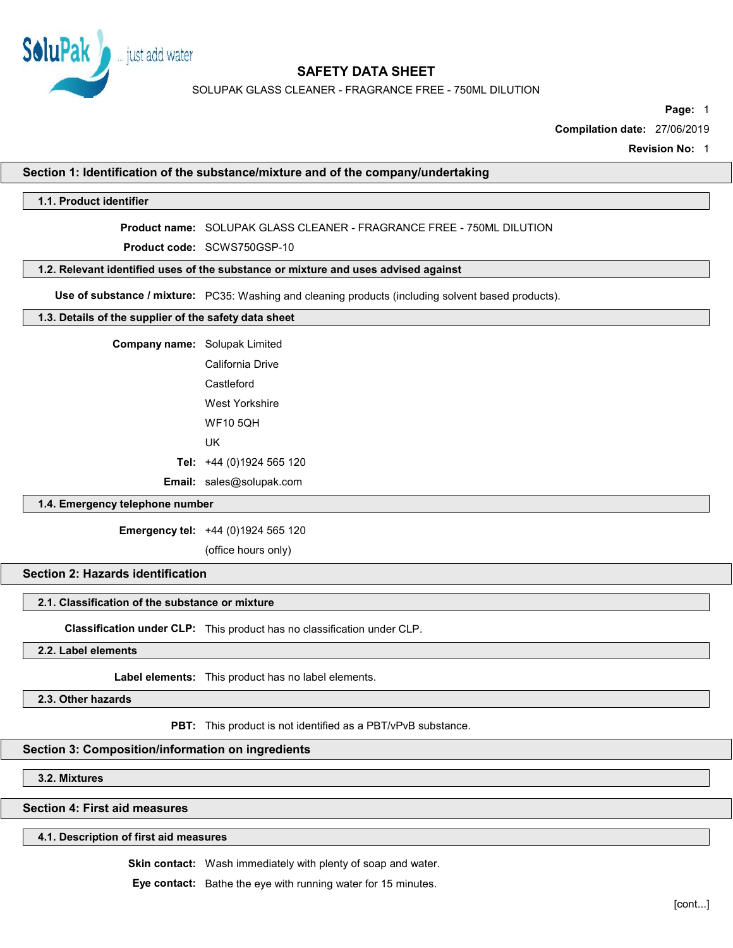

SOLUPAK GLASS CLEANER - FRAGRANCE FREE - 750ML DILUTION

Page: 1

Compilation date: 27/06/2019

Revision No: 1

### Section 1: Identification of the substance/mixture and of the company/undertaking

### 1.1. Product identifier

Product name: SOLUPAK GLASS CLEANER - FRAGRANCE FREE - 750ML DILUTION

Product code: SCWS750GSP-10

# 1.2. Relevant identified uses of the substance or mixture and uses advised against

Use of substance / mixture: PC35: Washing and cleaning products (including solvent based products).

# 1.3. Details of the supplier of the safety data sheet

Company name: Solupak Limited California Drive **Castleford** West Yorkshire WF10 5QH UK Tel: +44 (0)1924 565 120

Email: sales@solupak.com

### 1.4. Emergency telephone number

Emergency tel: +44 (0)1924 565 120

(office hours only)

# Section 2: Hazards identification

# 2.1. Classification of the substance or mixture

Classification under CLP: This product has no classification under CLP.

2.2. Label elements

Label elements: This product has no label elements.

2.3. Other hazards

PBT: This product is not identified as a PBT/vPvB substance.

### Section 3: Composition/information on ingredients

3.2. Mixtures

Section 4: First aid measures

#### 4.1. Description of first aid measures

Skin contact: Wash immediately with plenty of soap and water.

Eye contact: Bathe the eye with running water for 15 minutes.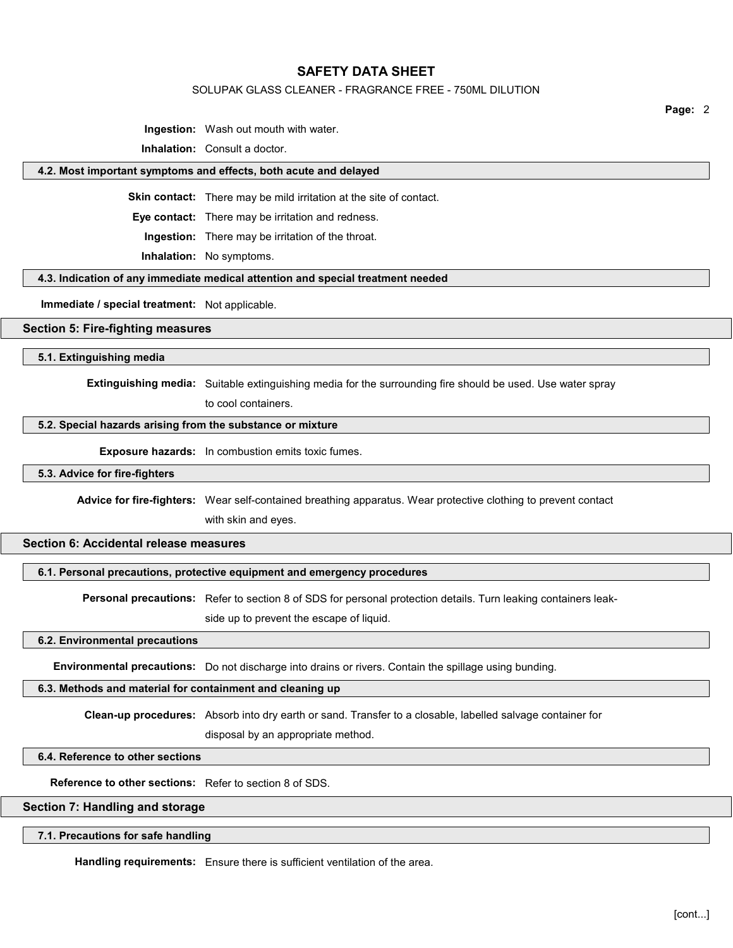### SOLUPAK GLASS CLEANER - FRAGRANCE FREE - 750ML DILUTION

Page: 2

Ingestion: Wash out mouth with water.

Inhalation: Consult a doctor.

#### 4.2. Most important symptoms and effects, both acute and delayed

Skin contact: There may be mild irritation at the site of contact.

Eye contact: There may be irritation and redness.

Ingestion: There may be irritation of the throat.

Inhalation: No symptoms.

#### 4.3. Indication of any immediate medical attention and special treatment needed

Immediate / special treatment: Not applicable.

### Section 5: Fire-fighting measures

5.1. Extinguishing media

Extinguishing media: Suitable extinguishing media for the surrounding fire should be used. Use water spray

to cool containers.

#### 5.2. Special hazards arising from the substance or mixture

**Exposure hazards:** In combustion emits toxic fumes.

#### 5.3. Advice for fire-fighters

Advice for fire-fighters: Wear self-contained breathing apparatus. Wear protective clothing to prevent contact

with skin and eyes.

## Section 6: Accidental release measures

### 6.1. Personal precautions, protective equipment and emergency procedures

Personal precautions: Refer to section 8 of SDS for personal protection details. Turn leaking containers leak-

side up to prevent the escape of liquid.

#### 6.2. Environmental precautions

Environmental precautions: Do not discharge into drains or rivers. Contain the spillage using bunding.

#### 6.3. Methods and material for containment and cleaning up

Clean-up procedures: Absorb into dry earth or sand. Transfer to a closable, labelled salvage container for

disposal by an appropriate method.

# 6.4. Reference to other sections

Reference to other sections: Refer to section 8 of SDS.

#### Section 7: Handling and storage

## 7.1. Precautions for safe handling

Handling requirements: Ensure there is sufficient ventilation of the area.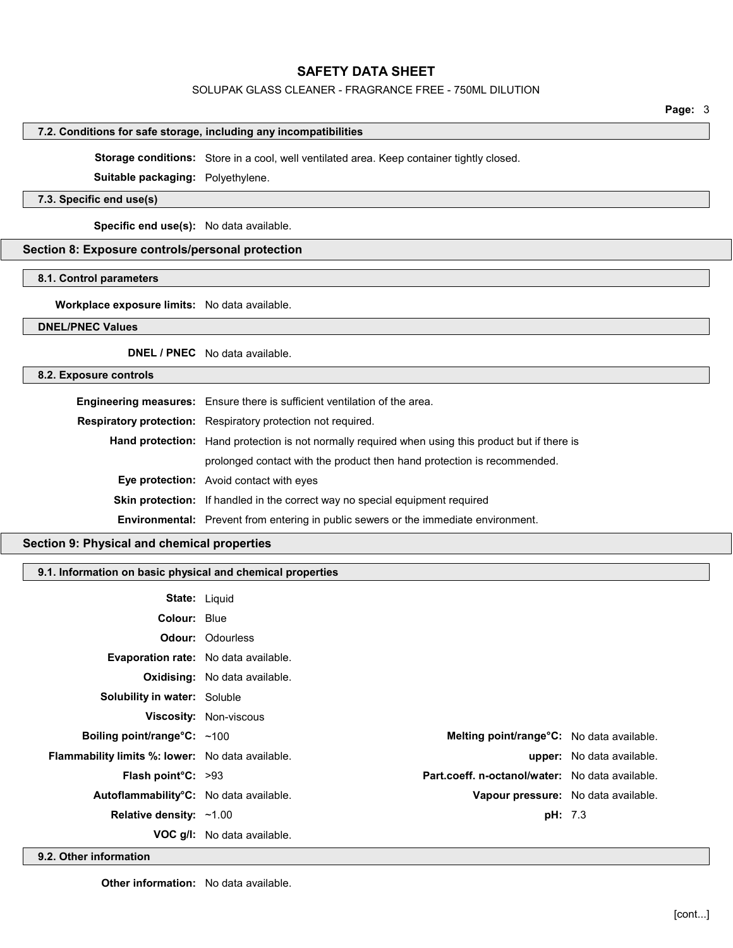# SOLUPAK GLASS CLEANER - FRAGRANCE FREE - 750ML DILUTION

# 7.2. Conditions for safe storage, including any incompatibilities

Storage conditions: Store in a cool, well ventilated area. Keep container tightly closed.

Suitable packaging: Polyethylene.

# 7.3. Specific end use(s)

Specific end use(s): No data available.

# Section 8: Exposure controls/personal protection

# 8.1. Control parameters

Workplace exposure limits: No data available.

## DNEL/PNEC Values

DNEL / PNEC No data available.

## 8.2. Exposure controls

| Engineering measures: Ensure there is sufficient ventilation of the area.                                |
|----------------------------------------------------------------------------------------------------------|
| Respiratory protection: Respiratory protection not required.                                             |
| <b>Hand protection:</b> Hand protection is not normally required when using this product but if there is |
| prolonged contact with the product then hand protection is recommended.                                  |
| <b>Eye protection:</b> Avoid contact with eyes                                                           |
| <b>Skin protection:</b> If handled in the correct way no special equipment required                      |
| Environmental: Prevent from entering in public sewers or the immediate environment.                      |

### Section 9: Physical and chemical properties

# 9.1. Information on basic physical and chemical properties

| <b>State: Liquid</b>                             |                                      |                |                                                        |
|--------------------------------------------------|--------------------------------------|----------------|--------------------------------------------------------|
| <b>Colour: Blue</b>                              |                                      |                |                                                        |
|                                                  | <b>Odour: Odourless</b>              |                |                                                        |
| Evaporation rate: No data available.             |                                      |                |                                                        |
|                                                  | <b>Oxidising:</b> No data available. |                |                                                        |
| <b>Solubility in water:</b> Soluble              |                                      |                |                                                        |
|                                                  | <b>Viscosity: Non-viscous</b>        |                |                                                        |
| Boiling point/range $C: ~100$                    |                                      |                | Melting point/range°C: No data available.              |
| Flammability limits %: lower: No data available. |                                      |                | <b>upper:</b> No data available.                       |
| <b>Flash point <math>C: &gt;93</math></b>        |                                      |                | <b>Part.coeff. n-octanol/water:</b> No data available. |
| Autoflammability°C: No data available.           |                                      |                | Vapour pressure: No data available.                    |
| Relative density: $~1.00$                        |                                      | <b>pH:</b> 7.3 |                                                        |
|                                                  | <b>VOC g/l:</b> No data available.   |                |                                                        |

9.2. Other information

**Other information:** No data available.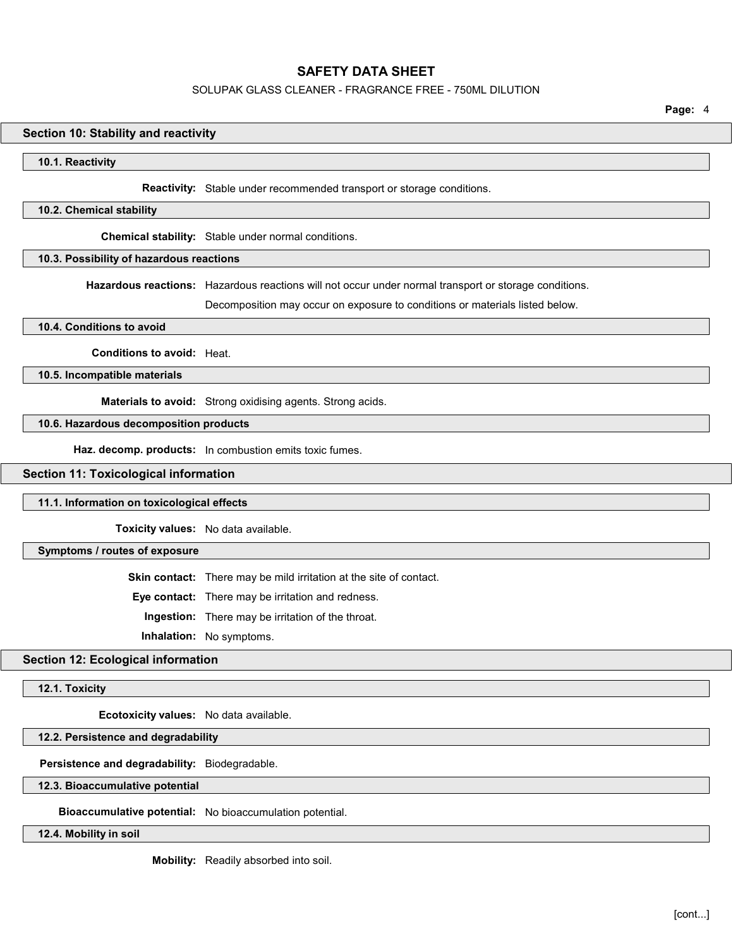#### SOLUPAK GLASS CLEANER - FRAGRANCE FREE - 750ML DILUTION

Page: 4

### Section 10: Stability and reactivity

#### 10.1. Reactivity

Reactivity: Stable under recommended transport or storage conditions.

#### 10.2. Chemical stability

Chemical stability: Stable under normal conditions.

### 10.3. Possibility of hazardous reactions

Hazardous reactions: Hazardous reactions will not occur under normal transport or storage conditions.

Decomposition may occur on exposure to conditions or materials listed below.

#### 10.4. Conditions to avoid

Conditions to avoid: Heat.

10.5. Incompatible materials

Materials to avoid: Strong oxidising agents. Strong acids.

### 10.6. Hazardous decomposition products

Haz. decomp. products: In combustion emits toxic fumes.

# Section 11: Toxicological information

#### 11.1. Information on toxicological effects

Toxicity values: No data available.

Symptoms / routes of exposure

Skin contact: There may be mild irritation at the site of contact.

Eye contact: There may be irritation and redness.

Ingestion: There may be irritation of the throat.

Inhalation: No symptoms.

## Section 12: Ecological information

12.1. Toxicity

Ecotoxicity values: No data available.

# 12.2. Persistence and degradability

Persistence and degradability: Biodegradable.

12.3. Bioaccumulative potential

Bioaccumulative potential: No bioaccumulation potential.

12.4. Mobility in soil

Mobility: Readily absorbed into soil.